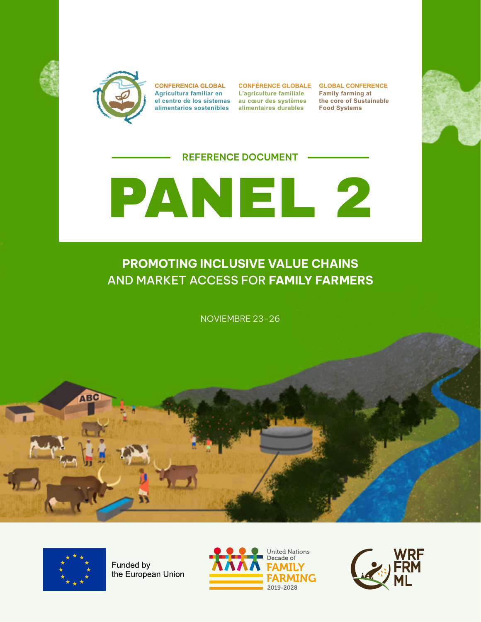



**CONFERENCIA GLOBAL Agricultura familiar en el centro de los sistemas au cœur des systèmes alimentarios sostenibles alimentaires durables**

**CONFÉRENCE GLOBALE GLOBAL CONFERENCE L'agriculture familiale**

**Family farming at the core of Sustainable Food Systems**



### **REFERENCE DOCUMENT**



## **PROMOTING INCLUSIVE VALUE CHAINS** AND MARKET ACCESS FOR **FAMILY FARMERS**

NOVIEMBRE 23-26



**ABC** 

Funded by the European Union



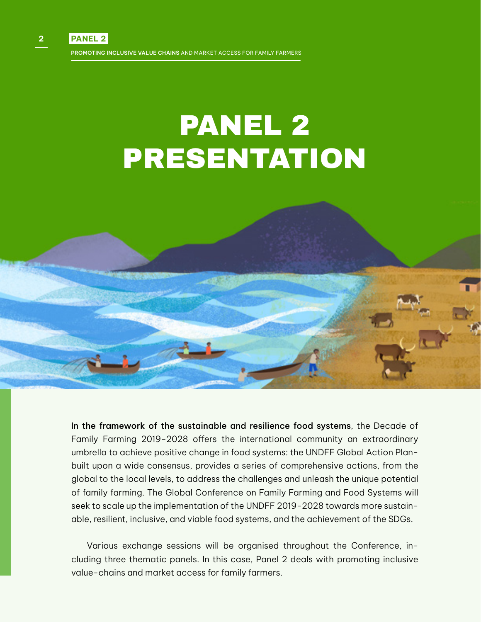# PANEL 2 PRESENTATION

In the framework of the sustainable and resilience food systems, the Decade of Family Farming 2019-2028 offers the international community an extraordinary umbrella to achieve positive change in food systems: the UNDFF Global Action Planbuilt upon a wide consensus, provides a series of comprehensive actions, from the global to the local levels, to address the challenges and unleash the unique potential of family farming. The Global Conference on Family Farming and Food Systems will seek to scale up the implementation of the UNDFF 2019-2028 towards more sustainable, resilient, inclusive, and viable food systems, and the achievement of the SDGs.

Various exchange sessions will be organised throughout the Conference, including three thematic panels. In this case, Panel 2 deals with promoting inclusive value-chains and market access for family farmers.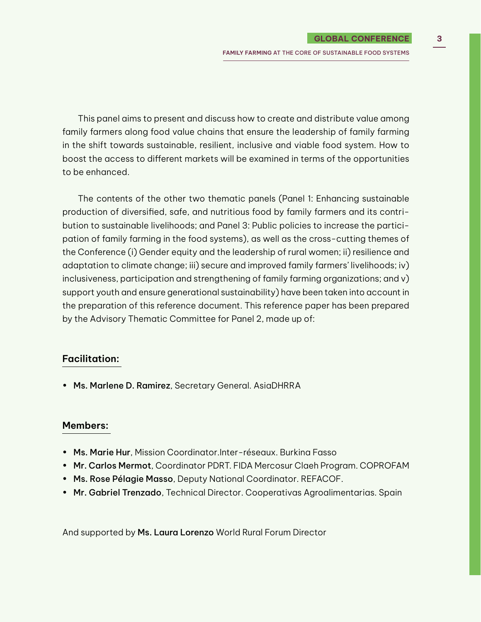**FAMILY FARMING** AT THE CORE OF SUSTAINABLE FOOD SYSTEMS

This panel aims to present and discuss how to create and distribute value among family farmers along food value chains that ensure the leadership of family farming in the shift towards sustainable, resilient, inclusive and viable food system. How to boost the access to different markets will be examined in terms of the opportunities to be enhanced.

The contents of the other two thematic panels (Panel 1: Enhancing sustainable production of diversified, safe, and nutritious food by family farmers and its contribution to sustainable livelihoods; and Panel 3: Public policies to increase the participation of family farming in the food systems), as well as the cross-cutting themes of the Conference (i) Gender equity and the leadership of rural women; ii) resilience and adaptation to climate change; iii) secure and improved family farmers' livelihoods; iv) inclusiveness, participation and strengthening of family farming organizations; and v) support youth and ensure generational sustainability) have been taken into account in the preparation of this reference document. This reference paper has been prepared by the Advisory Thematic Committee for Panel 2, made up of:

#### **Facilitation:**

• Ms. Marlene D. Ramirez, Secretary General. AsiaDHRRA

#### **Members:**

- Ms. Marie Hur, Mission Coordinator.[Inter-réseaux. Burkina Fasso](https://fr.linkedin.com/company/inter-r%C3%A9seaux-d%C3%A9veloppement-rural?trk=public_profile_experience-item_profile-section-card_subtitle-click)
- Mr. Carlos Mermot, Coordinator PDRT. FIDA Mercosur Claeh Program. COPROFAM
- Ms. Rose Pélagie Masso, Deputy National Coordinator. REFACOF.
- Mr. Gabriel Trenzado, Technical Director. Cooperativas Agroalimentarias. Spain

And supported by Ms. Laura Lorenzo World Rural Forum Director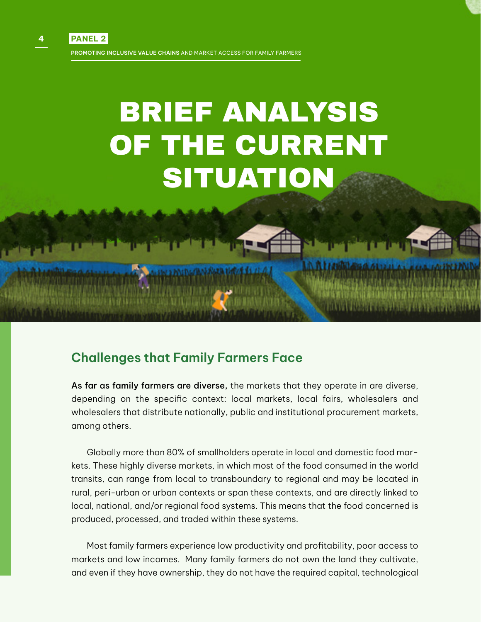# BRIEF ANALYSIS OF THE CURRENT SITUATION

## **Challenges that Family Farmers Face**

As far as family farmers are diverse, the markets that they operate in are diverse, depending on the specific context: local markets, local fairs, wholesalers and wholesalers that distribute nationally, public and institutional procurement markets, among others.

Globally more than 80% of smallholders operate in local and domestic food markets. These highly diverse markets, in which most of the food consumed in the world transits, can range from local to transboundary to regional and may be located in rural, peri-urban or urban contexts or span these contexts, and are directly linked to local, national, and/or regional food systems. This means that the food concerned is produced, processed, and traded within these systems.

Most family farmers experience low productivity and profitability, poor access to markets and low incomes. Many family farmers do not own the land they cultivate, and even if they have ownership, they do not have the required capital, technological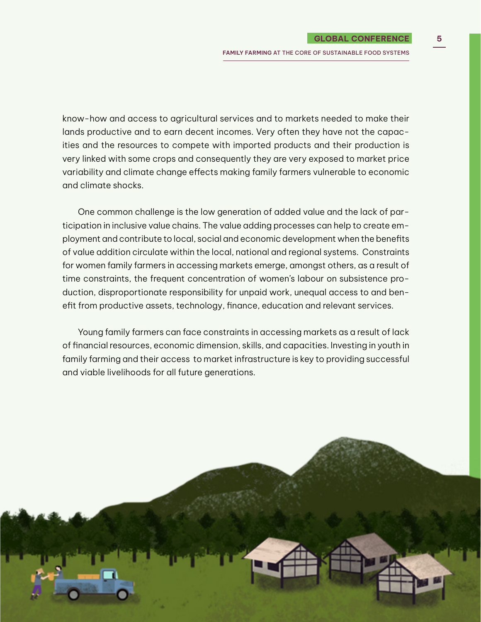**FAMILY FARMING** AT THE CORE OF SUSTAINABLE FOOD SYSTEMS

know-how and access to agricultural services and to markets needed to make their lands productive and to earn decent incomes. Very often they have not the capacities and the resources to compete with imported products and their production is very linked with some crops and consequently they are very exposed to market price variability and climate change effects making family farmers vulnerable to economic and climate shocks.

One common challenge is the low generation of added value and the lack of participation in inclusive value chains. The value adding processes can help to create employment and contribute to local, social and economic development when the benefits of value addition circulate within the local, national and regional systems. Constraints for women family farmers in accessing markets emerge, amongst others, as a result of time constraints, the frequent concentration of women's labour on subsistence production, disproportionate responsibility for unpaid work, unequal access to and benefit from productive assets, technology, finance, education and relevant services.

Young family farmers can face constraints in accessing markets as a result of lack of financial resources, economic dimension, skills, and capacities. Investing in youth in family farming and their access to market infrastructure is key to providing successful and viable livelihoods for all future generations.

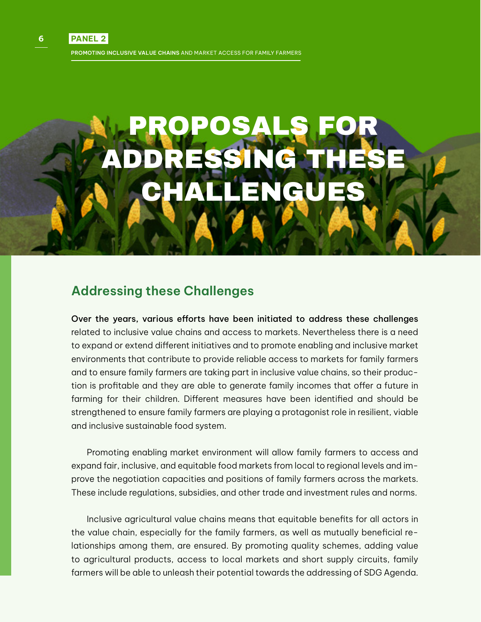# PROPOSALS FOR ADDRESSING THESE CHALLENGUES

## **Addressing these Challenges**

Over the years, various efforts have been initiated to address these challenges related to inclusive value chains and access to markets. Nevertheless there is a need to expand or extend different initiatives and to promote enabling and inclusive market environments that contribute to provide reliable access to markets for family farmers and to ensure family farmers are taking part in inclusive value chains, so their production is profitable and they are able to generate family incomes that offer a future in farming for their children. Different measures have been identified and should be strengthened to ensure family farmers are playing a protagonist role in resilient, viable and inclusive sustainable food system.

Promoting enabling market environment will allow family farmers to access and expand fair, inclusive, and equitable food markets from local to regional levels and improve the negotiation capacities and positions of family farmers across the markets. These include regulations, subsidies, and other trade and investment rules and norms.

Inclusive agricultural value chains means that equitable benefits for all actors in the value chain, especially for the family farmers, as well as mutually beneficial relationships among them, are ensured. By promoting quality schemes, adding value to agricultural products, access to local markets and short supply circuits, family farmers will be able to unleash their potential towards the addressing of SDG Agenda.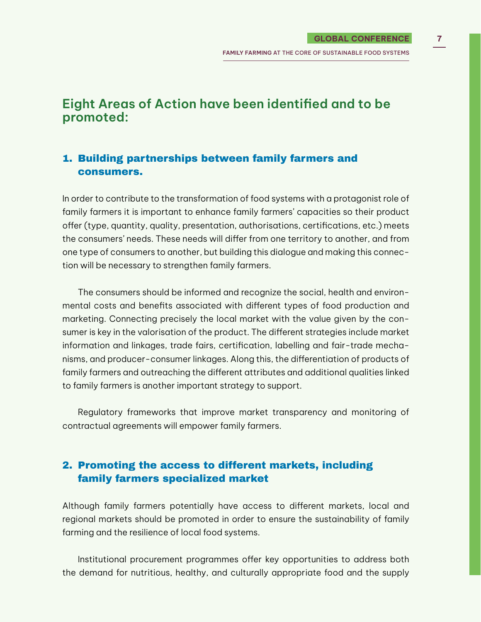## **Eight Areas of Action have been identified and to be promoted:**

### 1. Building partnerships between family farmers and consumers.

In order to contribute to the transformation of food systems with a protagonist role of family farmers it is important to enhance family farmers' capacities so their product offer (type, quantity, quality, presentation, authorisations, certifications, etc.) meets the consumers' needs. These needs will differ from one territory to another, and from one type of consumers to another, but building this dialogue and making this connection will be necessary to strengthen family farmers.

The consumers should be informed and recognize the social, health and environmental costs and benefits associated with different types of food production and marketing. Connecting precisely the local market with the value given by the consumer is key in the valorisation of the product. The different strategies include market information and linkages, trade fairs, certification, labelling and fair-trade mechanisms, and producer-consumer linkages. Along this, the differentiation of products of family farmers and outreaching the different attributes and additional qualities linked to family farmers is another important strategy to support.

Regulatory frameworks that improve market transparency and monitoring of contractual agreements will empower family farmers.

## 2. Promoting the access to different markets, including family farmers specialized market

Although family farmers potentially have access to different markets, local and regional markets should be promoted in order to ensure the sustainability of family farming and the resilience of local food systems.

Institutional procurement programmes offer key opportunities to address both the demand for nutritious, healthy, and culturally appropriate food and the supply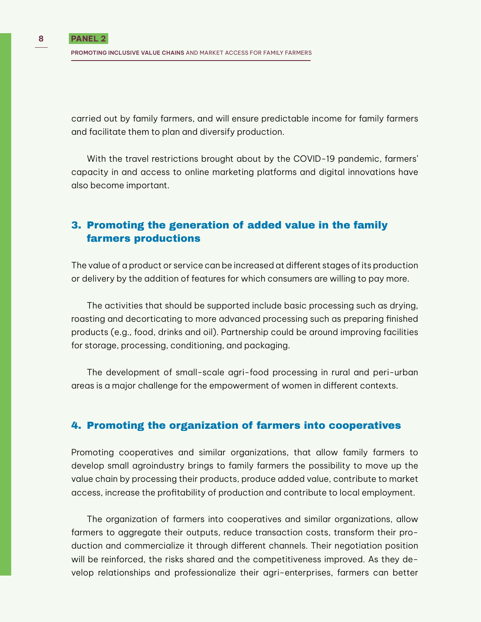carried out by family farmers, and will ensure predictable income for family farmers and facilitate them to plan and diversify production.

With the travel restrictions brought about by the COVID-19 pandemic, farmers' capacity in and access to online marketing platforms and digital innovations have also become important.

## 3. Promoting the generation of added value in the family farmers productions

The value of a product or service can be increased at different stages of its production or delivery by the addition of features for which consumers are willing to pay more.

The activities that should be supported include basic processing such as drying, roasting and decorticating to more advanced processing such as preparing finished products (e.g., food, drinks and oil). Partnership could be around improving facilities for storage, processing, conditioning, and packaging.

The development of small-scale agri-food processing in rural and peri-urban areas is a major challenge for the empowerment of women in different contexts.

#### 4. Promoting the organization of farmers into cooperatives

Promoting cooperatives and similar organizations, that allow family farmers to develop small agroindustry brings to family farmers the possibility to move up the value chain by processing their products, produce added value, contribute to market access, increase the profitability of production and contribute to local employment.

The organization of farmers into cooperatives and similar organizations, allow farmers to aggregate their outputs, reduce transaction costs, transform their production and commercialize it through different channels. Their negotiation position will be reinforced, the risks shared and the competitiveness improved. As they develop relationships and professionalize their agri-enterprises, farmers can better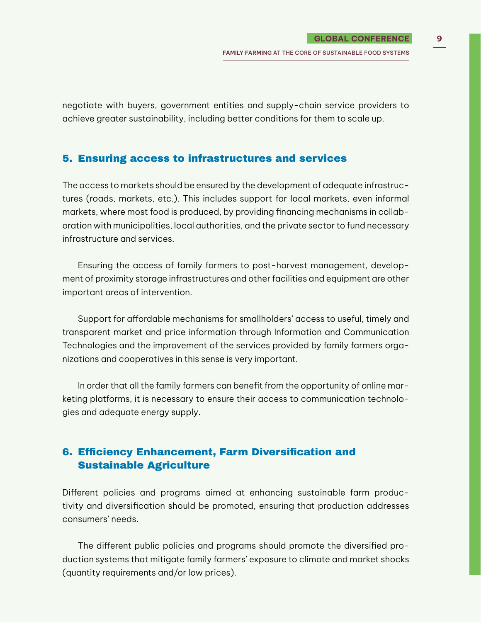negotiate with buyers, government entities and supply-chain service providers to achieve greater sustainability, including better conditions for them to scale up.

#### 5. Ensuring access to infrastructures and services

The access to markets should be ensured by the development of adequate infrastructures (roads, markets, etc.). This includes support for local markets, even informal markets, where most food is produced, by providing financing mechanisms in collaboration with municipalities, local authorities, and the private sector to fund necessary infrastructure and services.

Ensuring the access of family farmers to post-harvest management, development of proximity storage infrastructures and other facilities and equipment are other important areas of intervention.

Support for affordable mechanisms for smallholders' access to useful, timely and transparent market and price information through Information and Communication Technologies and the improvement of the services provided by family farmers organizations and cooperatives in this sense is very important.

In order that all the family farmers can benefit from the opportunity of online marketing platforms, it is necessary to ensure their access to communication technologies and adequate energy supply.

## 6. Efficiency Enhancement, Farm Diversification and Sustainable Agriculture

Different policies and programs aimed at enhancing sustainable farm productivity and diversification should be promoted, ensuring that production addresses consumers' needs.

The different public policies and programs should promote the diversified production systems that mitigate family farmers' exposure to climate and market shocks (quantity requirements and/or low prices).